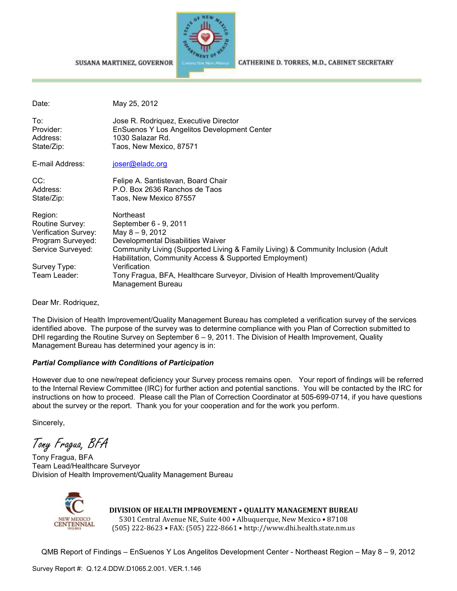



CATHERINE D. TORRES, M.D., CABINET SECRETARY

| May 25, 2012                                                                                                                                                                                                                                                                                                                                                          |
|-----------------------------------------------------------------------------------------------------------------------------------------------------------------------------------------------------------------------------------------------------------------------------------------------------------------------------------------------------------------------|
| Jose R. Rodriquez, Executive Director<br>EnSuenos Y Los Angelitos Development Center<br>1030 Salazar Rd.<br>Taos, New Mexico, 87571                                                                                                                                                                                                                                   |
| joser@eladc.org                                                                                                                                                                                                                                                                                                                                                       |
| Felipe A. Santistevan, Board Chair<br>P.O. Box 2636 Ranchos de Taos<br>Taos, New Mexico 87557                                                                                                                                                                                                                                                                         |
| Northeast<br>September 6 - 9, 2011<br>May 8 - 9, 2012<br>Developmental Disabilities Waiver<br>Community Living (Supported Living & Family Living) & Community Inclusion (Adult<br>Habilitation, Community Access & Supported Employment)<br>Verification<br>Tony Fragua, BFA, Healthcare Surveyor, Division of Health Improvement/Quality<br><b>Management Bureau</b> |
|                                                                                                                                                                                                                                                                                                                                                                       |

Dear Mr. Rodriquez,

The Division of Health Improvement/Quality Management Bureau has completed a verification survey of the services identified above. The purpose of the survey was to determine compliance with you Plan of Correction submitted to DHI regarding the Routine Survey on September 6 – 9, 2011. The Division of Health Improvement, Quality Management Bureau has determined your agency is in:

#### *Partial Compliance with Conditions of Participation*

However due to one new/repeat deficiency your Survey process remains open. Your report of findings will be referred to the Internal Review Committee (IRC) for further action and potential sanctions. You will be contacted by the IRC for instructions on how to proceed. Please call the Plan of Correction Coordinator at 505-699-0714, if you have questions about the survey or the report. Thank you for your cooperation and for the work you perform.

Sincerely,

Tony Fragua, BFA

Tony Fragua, BFA Team Lead/Healthcare Surveyor Division of Health Improvement/Quality Management Bureau



**DIVISION OF HEALTH IMPROVEMENT** • **QUALITY MANAGEMENT BUREAU** 5301 Central Avenue NE, Suite 400 • Albuquerque, New Mexico • 87108 (505) 222-8623 • FAX: (505) 222-8661 • http://www.dhi.health.state.nm.us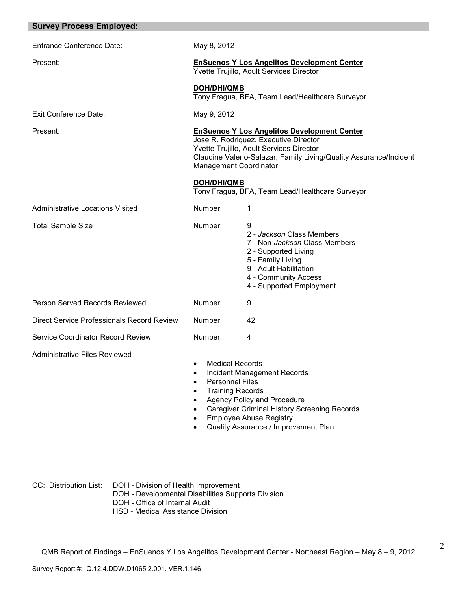| <b>Survey Process Employed:</b>            |                                                                                                                                                                                                                                                                     |                                                                                                                                                                                            |
|--------------------------------------------|---------------------------------------------------------------------------------------------------------------------------------------------------------------------------------------------------------------------------------------------------------------------|--------------------------------------------------------------------------------------------------------------------------------------------------------------------------------------------|
| <b>Entrance Conference Date:</b>           | May 8, 2012                                                                                                                                                                                                                                                         |                                                                                                                                                                                            |
| Present:                                   | <b>EnSuenos Y Los Angelitos Development Center</b><br>Yvette Trujillo, Adult Services Director                                                                                                                                                                      |                                                                                                                                                                                            |
|                                            | <b>DOH/DHI/QMB</b>                                                                                                                                                                                                                                                  | Tony Fragua, BFA, Team Lead/Healthcare Surveyor                                                                                                                                            |
| <b>Exit Conference Date:</b>               | May 9, 2012                                                                                                                                                                                                                                                         |                                                                                                                                                                                            |
| Present:                                   | <b>EnSuenos Y Los Angelitos Development Center</b><br>Jose R. Rodriquez, Executive Director<br>Yvette Trujillo, Adult Services Director<br>Claudine Valerio-Salazar, Family Living/Quality Assurance/Incident<br><b>Management Coordinator</b>                      |                                                                                                                                                                                            |
|                                            | <b>DOH/DHI/QMB</b><br>Tony Fragua, BFA, Team Lead/Healthcare Surveyor                                                                                                                                                                                               |                                                                                                                                                                                            |
| <b>Administrative Locations Visited</b>    | Number:                                                                                                                                                                                                                                                             | 1                                                                                                                                                                                          |
| <b>Total Sample Size</b>                   | Number:                                                                                                                                                                                                                                                             | 9<br>2 - Jackson Class Members<br>7 - Non-Jackson Class Members<br>2 - Supported Living<br>5 - Family Living<br>9 - Adult Habilitation<br>4 - Community Access<br>4 - Supported Employment |
| Person Served Records Reviewed             | Number:                                                                                                                                                                                                                                                             | 9                                                                                                                                                                                          |
| Direct Service Professionals Record Review | Number:                                                                                                                                                                                                                                                             | 42                                                                                                                                                                                         |
| <b>Service Coordinator Record Review</b>   | Number:                                                                                                                                                                                                                                                             | 4                                                                                                                                                                                          |
| <b>Administrative Files Reviewed</b>       | <b>Medical Records</b><br><b>Incident Management Records</b><br><b>Personnel Files</b><br>$\bullet$<br><b>Training Records</b><br>Agency Policy and Procedure<br>$\bullet$<br><b>Caregiver Criminal History Screening Records</b><br><b>Employee Abuse Registry</b> |                                                                                                                                                                                            |

• Quality Assurance / Improvement Plan

2

CC: Distribution List: DOH - Division of Health Improvement

- DOH Developmental Disabilities Supports Division
- DOH Office of Internal Audit
- HSD Medical Assistance Division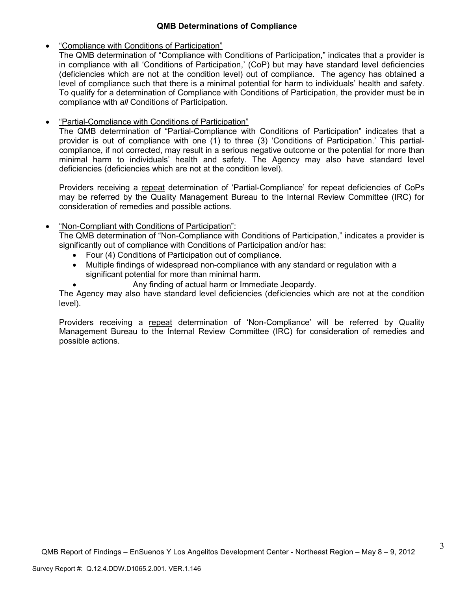# **QMB Determinations of Compliance**

• "Compliance with Conditions of Participation"

The QMB determination of "Compliance with Conditions of Participation," indicates that a provider is in compliance with all 'Conditions of Participation,' (CoP) but may have standard level deficiencies (deficiencies which are not at the condition level) out of compliance. The agency has obtained a level of compliance such that there is a minimal potential for harm to individuals' health and safety. To qualify for a determination of Compliance with Conditions of Participation, the provider must be in compliance with *all* Conditions of Participation.

• "Partial-Compliance with Conditions of Participation"

The QMB determination of "Partial-Compliance with Conditions of Participation" indicates that a provider is out of compliance with one (1) to three (3) 'Conditions of Participation.' This partialcompliance, if not corrected, may result in a serious negative outcome or the potential for more than minimal harm to individuals' health and safety. The Agency may also have standard level deficiencies (deficiencies which are not at the condition level).

Providers receiving a repeat determination of 'Partial-Compliance' for repeat deficiencies of CoPs may be referred by the Quality Management Bureau to the Internal Review Committee (IRC) for consideration of remedies and possible actions.

# • "Non-Compliant with Conditions of Participation":

The QMB determination of "Non-Compliance with Conditions of Participation," indicates a provider is significantly out of compliance with Conditions of Participation and/or has:

- Four (4) Conditions of Participation out of compliance.
- Multiple findings of widespread non-compliance with any standard or regulation with a significant potential for more than minimal harm.

• Any finding of actual harm or Immediate Jeopardy.

The Agency may also have standard level deficiencies (deficiencies which are not at the condition level).

Providers receiving a repeat determination of 'Non-Compliance' will be referred by Quality Management Bureau to the Internal Review Committee (IRC) for consideration of remedies and possible actions.

3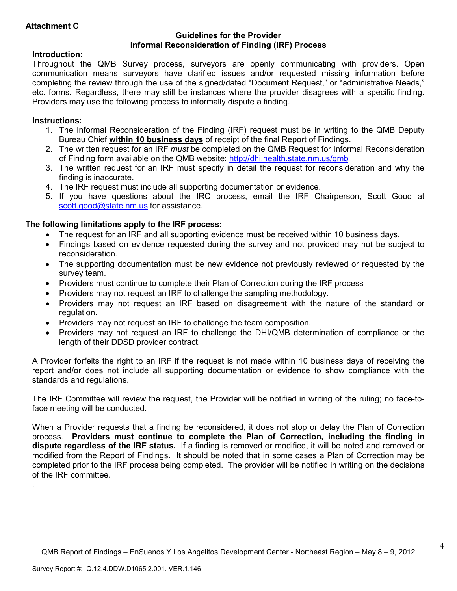# **Attachment C**

## **Guidelines for the Provider Informal Reconsideration of Finding (IRF) Process**

## **Introduction:**

Throughout the QMB Survey process, surveyors are openly communicating with providers. Open communication means surveyors have clarified issues and/or requested missing information before completing the review through the use of the signed/dated "Document Request," or "administrative Needs," etc. forms. Regardless, there may still be instances where the provider disagrees with a specific finding. Providers may use the following process to informally dispute a finding.

## **Instructions:**

.

- 1. The Informal Reconsideration of the Finding (IRF) request must be in writing to the QMB Deputy Bureau Chief **within 10 business days** of receipt of the final Report of Findings.
- 2. The written request for an IRF *must* be completed on the QMB Request for Informal Reconsideration of Finding form available on the QMB website: http://dhi.health.state.nm.us/qmb
- 3. The written request for an IRF must specify in detail the request for reconsideration and why the finding is inaccurate.
- 4. The IRF request must include all supporting documentation or evidence.
- 5. If you have questions about the IRC process, email the IRF Chairperson, Scott Good at scott.good@state.nm.us for assistance.

# **The following limitations apply to the IRF process:**

- The request for an IRF and all supporting evidence must be received within 10 business days.
- Findings based on evidence requested during the survey and not provided may not be subject to reconsideration.
- The supporting documentation must be new evidence not previously reviewed or requested by the survey team.
- Providers must continue to complete their Plan of Correction during the IRF process
- Providers may not request an IRF to challenge the sampling methodology.
- Providers may not request an IRF based on disagreement with the nature of the standard or regulation.
- Providers may not request an IRF to challenge the team composition.
- Providers may not request an IRF to challenge the DHI/QMB determination of compliance or the length of their DDSD provider contract.

A Provider forfeits the right to an IRF if the request is not made within 10 business days of receiving the report and/or does not include all supporting documentation or evidence to show compliance with the standards and regulations.

The IRF Committee will review the request, the Provider will be notified in writing of the ruling; no face-toface meeting will be conducted.

When a Provider requests that a finding be reconsidered, it does not stop or delay the Plan of Correction process. **Providers must continue to complete the Plan of Correction, including the finding in dispute regardless of the IRF status.** If a finding is removed or modified, it will be noted and removed or modified from the Report of Findings. It should be noted that in some cases a Plan of Correction may be completed prior to the IRF process being completed. The provider will be notified in writing on the decisions of the IRF committee.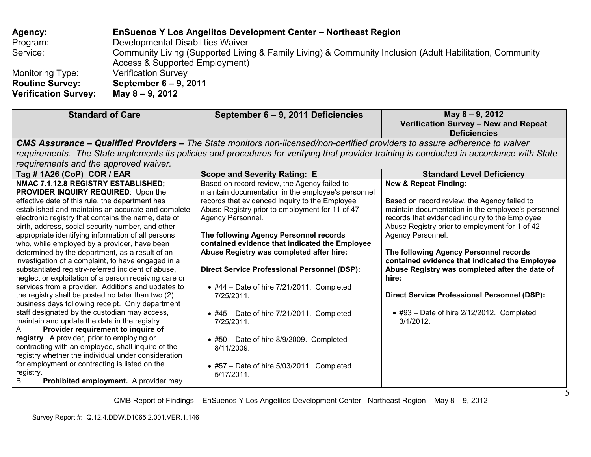| Agency:                     | <b>EnSuenos Y Los Angelitos Development Center - Northeast Region</b>                                                                      |
|-----------------------------|--------------------------------------------------------------------------------------------------------------------------------------------|
| Program:                    | Developmental Disabilities Waiver                                                                                                          |
| Service:                    | Community Living (Supported Living & Family Living) & Community Inclusion (Adult Habilitation, Community<br>Access & Supported Employment) |
| Monitoring Type:            | <b>Verification Survey</b>                                                                                                                 |
| <b>Routine Survey:</b>      | September 6 – 9, 2011                                                                                                                      |
| <b>Verification Survey:</b> | May 8 – 9, 2012                                                                                                                            |

| <b>Standard of Care</b>                                                                                                                                                                                                                                                                                                                                                                                                                                                                                                                                                                                                                                                                                                                                                                                                                                                                                                                                                                                                                                                                                                                                                                                               | September 6 – 9, 2011 Deficiencies                                                                                                                                                                                                                                                                                                                                                                                                                                                                                                                                                                                                                                                                | May 8 - 9, 2012<br>Verification Survey - New and Repeat<br><b>Deficiencies</b>                                                                                                                                                                                                                                                                                                                                                                                                                                                                  |
|-----------------------------------------------------------------------------------------------------------------------------------------------------------------------------------------------------------------------------------------------------------------------------------------------------------------------------------------------------------------------------------------------------------------------------------------------------------------------------------------------------------------------------------------------------------------------------------------------------------------------------------------------------------------------------------------------------------------------------------------------------------------------------------------------------------------------------------------------------------------------------------------------------------------------------------------------------------------------------------------------------------------------------------------------------------------------------------------------------------------------------------------------------------------------------------------------------------------------|---------------------------------------------------------------------------------------------------------------------------------------------------------------------------------------------------------------------------------------------------------------------------------------------------------------------------------------------------------------------------------------------------------------------------------------------------------------------------------------------------------------------------------------------------------------------------------------------------------------------------------------------------------------------------------------------------|-------------------------------------------------------------------------------------------------------------------------------------------------------------------------------------------------------------------------------------------------------------------------------------------------------------------------------------------------------------------------------------------------------------------------------------------------------------------------------------------------------------------------------------------------|
|                                                                                                                                                                                                                                                                                                                                                                                                                                                                                                                                                                                                                                                                                                                                                                                                                                                                                                                                                                                                                                                                                                                                                                                                                       | <b>CMS Assurance – Qualified Providers –</b> The State monitors non-licensed/non-certified providers to assure adherence to waiver                                                                                                                                                                                                                                                                                                                                                                                                                                                                                                                                                                |                                                                                                                                                                                                                                                                                                                                                                                                                                                                                                                                                 |
|                                                                                                                                                                                                                                                                                                                                                                                                                                                                                                                                                                                                                                                                                                                                                                                                                                                                                                                                                                                                                                                                                                                                                                                                                       | requirements. The State implements its policies and procedures for verifying that provider training is conducted in accordance with State                                                                                                                                                                                                                                                                                                                                                                                                                                                                                                                                                         |                                                                                                                                                                                                                                                                                                                                                                                                                                                                                                                                                 |
| requirements and the approved waiver.                                                                                                                                                                                                                                                                                                                                                                                                                                                                                                                                                                                                                                                                                                                                                                                                                                                                                                                                                                                                                                                                                                                                                                                 |                                                                                                                                                                                                                                                                                                                                                                                                                                                                                                                                                                                                                                                                                                   |                                                                                                                                                                                                                                                                                                                                                                                                                                                                                                                                                 |
| Tag # 1A26 (CoP) COR / EAR                                                                                                                                                                                                                                                                                                                                                                                                                                                                                                                                                                                                                                                                                                                                                                                                                                                                                                                                                                                                                                                                                                                                                                                            | <b>Scope and Severity Rating: E</b>                                                                                                                                                                                                                                                                                                                                                                                                                                                                                                                                                                                                                                                               | <b>Standard Level Deficiency</b>                                                                                                                                                                                                                                                                                                                                                                                                                                                                                                                |
| NMAC 7.1.12.8 REGISTRY ESTABLISHED;<br>PROVIDER INQUIRY REQUIRED: Upon the<br>effective date of this rule, the department has<br>established and maintains an accurate and complete<br>electronic registry that contains the name, date of<br>birth, address, social security number, and other<br>appropriate identifying information of all persons<br>who, while employed by a provider, have been<br>determined by the department, as a result of an<br>investigation of a complaint, to have engaged in a<br>substantiated registry-referred incident of abuse,<br>neglect or exploitation of a person receiving care or<br>services from a provider. Additions and updates to<br>the registry shall be posted no later than two (2)<br>business days following receipt. Only department<br>staff designated by the custodian may access,<br>maintain and update the data in the registry.<br>Provider requirement to inquire of<br>А.<br>registry. A provider, prior to employing or<br>contracting with an employee, shall inquire of the<br>registry whether the individual under consideration<br>for employment or contracting is listed on the<br>registry.<br>Prohibited employment. A provider may<br>В. | Based on record review, the Agency failed to<br>maintain documentation in the employee's personnel<br>records that evidenced inquiry to the Employee<br>Abuse Registry prior to employment for 11 of 47<br>Agency Personnel.<br>The following Agency Personnel records<br>contained evidence that indicated the Employee<br>Abuse Registry was completed after hire:<br><b>Direct Service Professional Personnel (DSP):</b><br>$\bullet$ #44 - Date of hire 7/21/2011. Completed<br>7/25/2011.<br>$\bullet$ #45 - Date of hire 7/21/2011. Completed<br>7/25/2011.<br>• #50 - Date of hire 8/9/2009. Completed<br>8/11/2009.<br>$\bullet$ #57 - Date of hire 5/03/2011. Completed<br>$5/17/2011$ . | <b>New &amp; Repeat Finding:</b><br>Based on record review, the Agency failed to<br>maintain documentation in the employee's personnel<br>records that evidenced inquiry to the Employee<br>Abuse Registry prior to employment for 1 of 42<br>Agency Personnel.<br>The following Agency Personnel records<br>contained evidence that indicated the Employee<br>Abuse Registry was completed after the date of<br>hire:<br><b>Direct Service Professional Personnel (DSP):</b><br>$\bullet$ #93 - Date of hire 2/12/2012. Completed<br>3/1/2012. |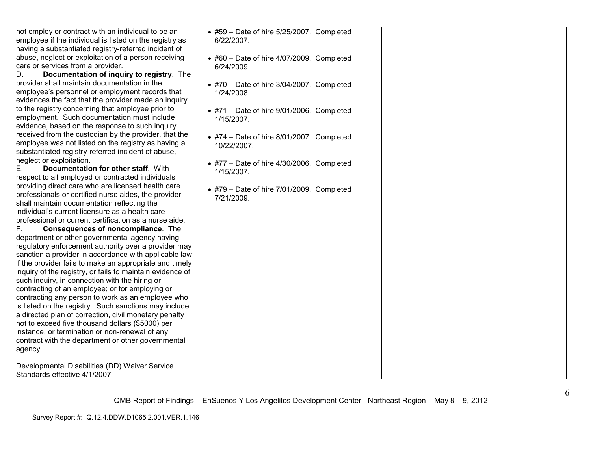not employ or contract with an individual to be an employee if the individual is listed on the registry as having a substantiated registry-referred incident of abuse, neglect or exploitation of a person receiving care or services from a provider.

 D. **Documentation of inquiry to registry**. The provider shall maintain documentation in the employee's personnel or employment records that evidences the fact that the provider made an inquiry to the registry concerning that employee prior to employment. Such documentation must include evidence, based on the response to such inquiry received from the custodian by the provider, that the employee was not listed on the registry as having asubstantiated registry-referred incident of abuse, neglect or exploitation.

 E. **Documentation for other staff**. With respect to all employed or contracted individuals providing direct care who are licensed health care professionals or certified nurse aides, the provider shall maintain documentation reflecting the individual's current licensure as a health care professional or current certification as a nurse aide.

F. **Consequences of noncompliance**. The department or other governmental agency having regulatory enforcement authority over a provider may sanction a provider in accordance with applicable law if the provider fails to make an appropriate and timely inquiry of the registry, or fails to maintain evidence of such inquiry, in connection with the hiring or contracting of an employee; or for employing or contracting any person to work as an employee who is listed on the registry. Such sanctions may include a directed plan of correction, civil monetary penalty not to exceed five thousand dollars (\$5000) per instance, or termination or non-renewal of any contract with the department or other governmental agency.

Developmental Disabilities (DD) Waiver Service Standards effective 4/1/2007

• #59 – Date of hire 5/25/2007. Completed 6/22/2007.

- #60 Date of hire 4/07/2009. Completed 6/24/2009.
- #70 Date of hire 3/04/2007. Completed 1/24/2008.
- #71 Date of hire 9/01/2006. Completed 1/15/2007.
- #74 Date of hire 8/01/2007. Completed 10/22/2007.
- #77 Date of hire 4/30/2006. Completed 1/15/2007.
- #79 Date of hire 7/01/2009. Completed 7/21/2009.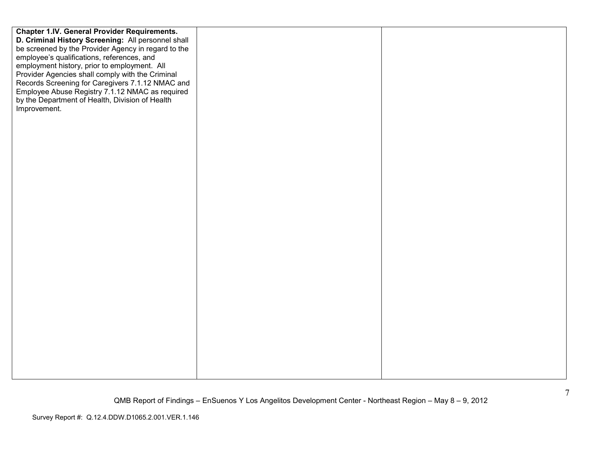| <b>Chapter 1.IV. General Provider Requirements.</b> |  |
|-----------------------------------------------------|--|
| D. Criminal History Screening: All personnel shall  |  |
| be screened by the Provider Agency in regard to the |  |
| employee's qualifications, references, and          |  |
| employment history, prior to employment. All        |  |
| Provider Agencies shall comply with the Criminal    |  |
| Records Screening for Caregivers 7.1.12 NMAC and    |  |
| Employee Abuse Registry 7.1.12 NMAC as required     |  |
| by the Department of Health, Division of Health     |  |
| Improvement.                                        |  |
|                                                     |  |
|                                                     |  |
|                                                     |  |
|                                                     |  |
|                                                     |  |
|                                                     |  |
|                                                     |  |
|                                                     |  |
|                                                     |  |
|                                                     |  |
|                                                     |  |
|                                                     |  |
|                                                     |  |
|                                                     |  |
|                                                     |  |
|                                                     |  |
|                                                     |  |
|                                                     |  |
|                                                     |  |
|                                                     |  |
|                                                     |  |
|                                                     |  |
|                                                     |  |
|                                                     |  |
|                                                     |  |
|                                                     |  |
|                                                     |  |
|                                                     |  |
|                                                     |  |
|                                                     |  |
|                                                     |  |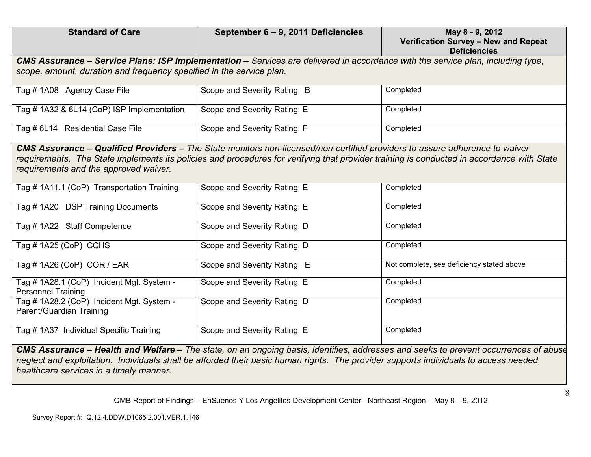| <b>Standard of Care</b>                                                                                                                                                                                                                                                                                           | September 6 - 9, 2011 Deficiencies | May 8 - 9, 2012<br>Verification Survey - New and Repeat<br><b>Deficiencies</b> |  |
|-------------------------------------------------------------------------------------------------------------------------------------------------------------------------------------------------------------------------------------------------------------------------------------------------------------------|------------------------------------|--------------------------------------------------------------------------------|--|
| CMS Assurance - Service Plans: ISP Implementation - Services are delivered in accordance with the service plan, including type,<br>scope, amount, duration and frequency specified in the service plan.                                                                                                           |                                    |                                                                                |  |
| Tag #1A08 Agency Case File                                                                                                                                                                                                                                                                                        | Scope and Severity Rating: B       | Completed                                                                      |  |
| Tag # 1A32 & 6L14 (CoP) ISP Implementation                                                                                                                                                                                                                                                                        | Scope and Severity Rating: E       | Completed                                                                      |  |
| Tag # 6L14 Residential Case File                                                                                                                                                                                                                                                                                  | Scope and Severity Rating: F       | Completed                                                                      |  |
| CMS Assurance – Qualified Providers – The State monitors non-licensed/non-certified providers to assure adherence to waiver<br>requirements. The State implements its policies and procedures for verifying that provider training is conducted in accordance with State<br>requirements and the approved waiver. |                                    |                                                                                |  |
| Tag # 1A11.1 (CoP) Transportation Training                                                                                                                                                                                                                                                                        | Scope and Severity Rating: E       | Completed                                                                      |  |
| Tag #1A20 DSP Training Documents                                                                                                                                                                                                                                                                                  | Scope and Severity Rating: E       | Completed                                                                      |  |
| Tag #1A22 Staff Competence                                                                                                                                                                                                                                                                                        | Scope and Severity Rating: D       | Completed                                                                      |  |
| Tag # 1A25 (CoP) CCHS                                                                                                                                                                                                                                                                                             | Scope and Severity Rating: D       | Completed                                                                      |  |
| Tag # 1A26 (CoP) COR / EAR                                                                                                                                                                                                                                                                                        | Scope and Severity Rating: E       | Not complete, see deficiency stated above                                      |  |
| Tag # 1A28.1 (CoP) Incident Mgt. System -<br><b>Personnel Training</b>                                                                                                                                                                                                                                            | Scope and Severity Rating: E       | Completed                                                                      |  |
| Tag # 1A28.2 (CoP) Incident Mgt. System -<br>Parent/Guardian Training                                                                                                                                                                                                                                             | Scope and Severity Rating: D       | Completed                                                                      |  |
| Tag # 1A37 Individual Specific Training                                                                                                                                                                                                                                                                           | Scope and Severity Rating: E       | Completed                                                                      |  |

*CMS Assurance – Health and Welfare – The state, on an ongoing basis, identifies, addresses and seeks to prevent occurrences of abuse, neglect and exploitation. Individuals shall be afforded their basic human rights. The provider supports individuals to access needed healthcare services in a timely manner.*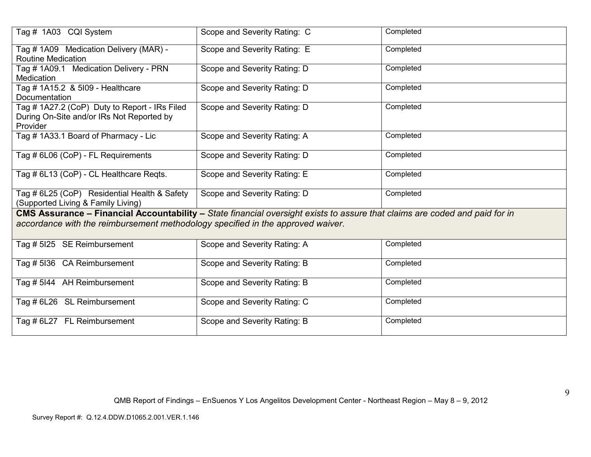| Tag # 1A03 CQI System                                                                                                                                                                                          | Scope and Severity Rating: C | Completed |  |
|----------------------------------------------------------------------------------------------------------------------------------------------------------------------------------------------------------------|------------------------------|-----------|--|
| Tag # 1A09 Medication Delivery (MAR) -                                                                                                                                                                         | Scope and Severity Rating: E | Completed |  |
| <b>Routine Medication</b>                                                                                                                                                                                      |                              |           |  |
| Tag # 1A09.1 Medication Delivery - PRN                                                                                                                                                                         | Scope and Severity Rating: D | Completed |  |
| Medication                                                                                                                                                                                                     |                              |           |  |
| Tag # 1A15.2 & 5109 - Healthcare                                                                                                                                                                               | Scope and Severity Rating: D | Completed |  |
| Documentation                                                                                                                                                                                                  |                              |           |  |
| Tag # 1A27.2 (CoP) Duty to Report - IRs Filed<br>During On-Site and/or IRs Not Reported by<br>Provider                                                                                                         | Scope and Severity Rating: D | Completed |  |
| Tag #1A33.1 Board of Pharmacy - Lic                                                                                                                                                                            | Scope and Severity Rating: A | Completed |  |
| Tag # 6L06 (CoP) - FL Requirements                                                                                                                                                                             | Scope and Severity Rating: D | Completed |  |
| Tag # 6L13 (CoP) - CL Healthcare Reqts.                                                                                                                                                                        | Scope and Severity Rating: E | Completed |  |
| Tag # 6L25 (CoP) Residential Health & Safety<br>(Supported Living & Family Living)                                                                                                                             | Scope and Severity Rating: D | Completed |  |
|                                                                                                                                                                                                                |                              |           |  |
| CMS Assurance – Financial Accountability – State financial oversight exists to assure that claims are coded and paid for in<br>accordance with the reimbursement methodology specified in the approved waiver. |                              |           |  |
| Tag # 5125 SE Reimbursement                                                                                                                                                                                    | Scope and Severity Rating: A | Completed |  |
|                                                                                                                                                                                                                |                              |           |  |
| Tag # 5136 CA Reimbursement                                                                                                                                                                                    | Scope and Severity Rating: B | Completed |  |
| Tag # 5144 AH Reimbursement                                                                                                                                                                                    | Scope and Severity Rating: B | Completed |  |
| Tag # 6L26 SL Reimbursement                                                                                                                                                                                    | Scope and Severity Rating: C | Completed |  |
| Tag # 6L27 FL Reimbursement                                                                                                                                                                                    | Scope and Severity Rating: B | Completed |  |
|                                                                                                                                                                                                                |                              |           |  |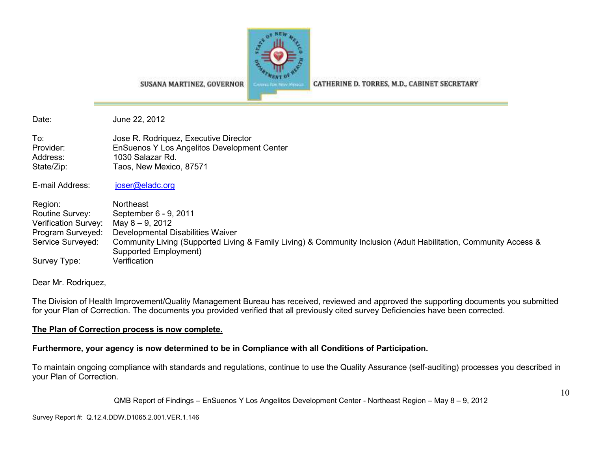

SUSANA MARTINEZ, GOVERNOR

CATHERINE D. TORRES, M.D., CABINET SECRETARY

Date: June 22, 2012

To: Jose R. Rodriquez, Executive Director Provider: EnSuenos Y Los Angelitos Development Center Address: 1030 Salazar Rd. State/Zip: Taos, New Mexico, 87571

E-mail Address: joser@eladc.org

Region: Northeast Routine Survey: September 6 - 9, 2011 Verification Survey: May 8 – 9, 2012 Program Surveyed: Developmental Disabilities WaiverService Surveyed: Community Living (Supported Living & Family Living) & Community Inclusion (Adult Habilitation, Community Access & Supported Employment) Survey Type: Verification

Dear Mr. Rodriquez,

The Division of Health Improvement/Quality Management Bureau has received, reviewed and approved the supporting documents you submitted for your Plan of Correction. The documents you provided verified that all previously cited survey Deficiencies have been corrected.

## **The Plan of Correction process is now complete.**

## **Furthermore, your agency is now determined to be in Compliance with all Conditions of Participation.**

To maintain ongoing compliance with standards and regulations, continue to use the Quality Assurance (self-auditing) processes you described in your Plan of Correction.

QMB Report of Findings – EnSuenos Y Los Angelitos Development Center - Northeast Region – May 8 – 9, 2012

Survey Report #: Q.12.4.DDW.D1065.2.001.VER.1.146